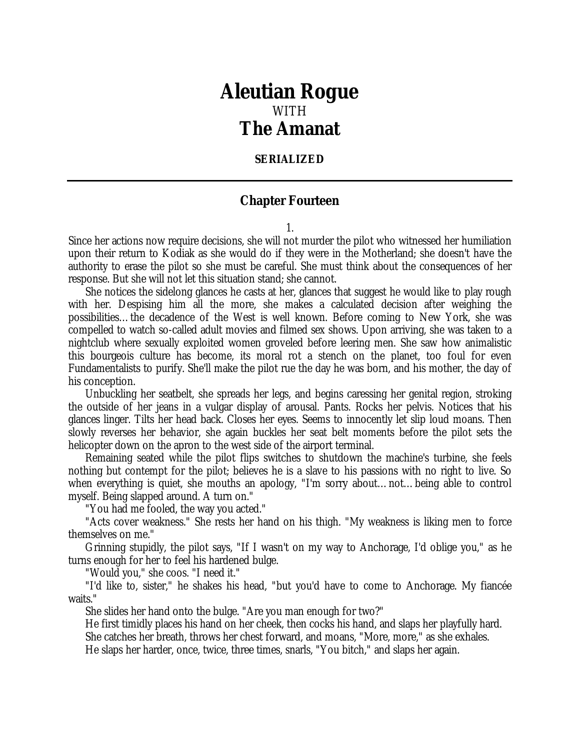## *Aleutian Rogue* WITH *The Amanat*

## **SERIALIZED**

## **Chapter Fourteen**

1.

Since her actions now require decisions, she will not murder the pilot who witnessed her humiliation upon their return to Kodiak as she would do if they were in the Motherland; she doesn't have the authority to erase the pilot so she must be careful. She must think about the consequences of her response. But she will not let this situation stand; she cannot.

She notices the sidelong glances he casts at her, glances that suggest he would like to play rough with her. Despising him all the more, she makes a calculated decision after weighing the possibilities…the decadence of the West is well known. Before coming to New York, she was compelled to watch so-called adult movies and filmed sex shows. Upon arriving, she was taken to a nightclub where sexually exploited women groveled before leering men. She saw how animalistic this bourgeois culture has become, its moral rot a stench on the planet, too foul for even Fundamentalists to purify. She'll make the pilot rue the day he was born, and his mother, the day of his conception.

Unbuckling her seatbelt, she spreads her legs, and begins caressing her genital region, stroking the outside of her jeans in a vulgar display of arousal. Pants. Rocks her pelvis. Notices that his glances linger. Tilts her head back. Closes her eyes. Seems to innocently let slip loud moans. Then slowly reverses her behavior, she again buckles her seat belt moments before the pilot sets the helicopter down on the apron to the west side of the airport terminal.

Remaining seated while the pilot flips switches to shutdown the machine's turbine, she feels nothing but contempt for the pilot; believes he is a slave to his passions with no right to live. So when everything is quiet, she mouths an apology, "I'm sorry about…not…being able to control myself. Being slapped around. A turn on."

"You had me fooled, the way you acted."

"Acts cover weakness." She rests her hand on his thigh. "My weakness is liking men to force themselves on me."

Grinning stupidly, the pilot says, "If I wasn't on my way to Anchorage, I'd oblige you," as he turns enough for her to feel his hardened bulge.

"Would you," she coos. "I need it."

"I'd like to, sister," he shakes his head, "but you'd have to come to Anchorage. My fiancée waits."

She slides her hand onto the bulge. "Are you man enough for two?"

He first timidly places his hand on her cheek, then cocks his hand, and slaps her playfully hard. She catches her breath, throws her chest forward, and moans, "More, more," as she exhales. He slaps her harder, once, twice, three times, snarls, "You bitch," and slaps her again.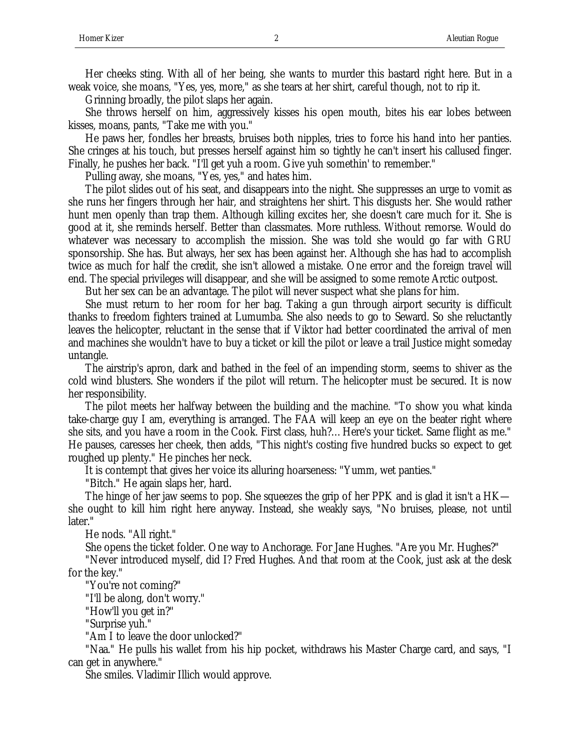Her cheeks sting. With all of her being, she wants to murder this bastard right here. But in a weak voice, she moans, "Yes, yes, more," as she tears at her shirt, careful though, not to rip it.

Grinning broadly, the pilot slaps her again.

She throws herself on him, aggressively kisses his open mouth, bites his ear lobes between kisses, moans, pants, "Take me with you."

He paws her, fondles her breasts, bruises both nipples, tries to force his hand into her panties. She cringes at his touch, but presses herself against him so tightly he can't insert his callused finger. Finally, he pushes her back. "I'll get yuh a room. Give yuh somethin' to remember."

Pulling away, she moans, "Yes, yes," and hates him.

The pilot slides out of his seat, and disappears into the night. She suppresses an urge to vomit as she runs her fingers through her hair, and straightens her shirt. This disgusts her. She would rather hunt men openly than trap them. Although killing excites her, she doesn't care much for it. She is good at it, she reminds herself. Better than classmates. More ruthless. Without remorse. Would do whatever was necessary to accomplish the mission. She was told she would go far with GRU sponsorship. She has. But always, her sex has been against her. Although she has had to accomplish twice as much for half the credit, she isn't allowed a mistake. One error and the foreign travel will end. The special privileges will disappear, and she will be assigned to some remote Arctic outpost.

But her sex can be an advantage. The pilot will never suspect what she plans for him.

She must return to her room for her bag. Taking a gun through airport security is difficult thanks to freedom fighters trained at Lumumba. She also needs to go to Seward. So she reluctantly leaves the helicopter, reluctant in the sense that if Viktor had better coordinated the arrival of men and machines she wouldn't have to buy a ticket or kill the pilot or leave a trail Justice might someday untangle.

The airstrip's apron, dark and bathed in the feel of an impending storm, seems to shiver as the cold wind blusters. She wonders if the pilot will return. The helicopter must be secured. It is now her responsibility.

The pilot meets her halfway between the building and the machine. "To show you what kinda take-charge guy I am, everything is arranged. The FAA will keep an eye on the beater right where she sits, and you have a room in the Cook. First class, huh?…Here's your ticket. Same flight as me." He pauses, caresses her cheek, then adds, "This night's costing five hundred bucks so expect to get roughed up plenty." He pinches her neck.

It is contempt that gives her voice its alluring hoarseness: "Yumm, wet panties."

"Bitch." He again slaps her, hard.

The hinge of her jaw seems to pop. She squeezes the grip of her PPK and is glad it isn't a HK she ought to kill him right here anyway. Instead, she weakly says, "No bruises, please, not until later."

He nods. "All right."

She opens the ticket folder. One way to Anchorage. For Jane Hughes. "Are you Mr. Hughes?"

"Never introduced myself, did I? Fred Hughes. And that room at the Cook, just ask at the desk for the key."

"You're not coming?"

"I'll be along, don't worry."

"How'll you get in?"

"Surprise yuh."

"Am I to leave the door unlocked?"

"Naa." He pulls his wallet from his hip pocket, withdraws his Master Charge card, and says, "I can get in anywhere."

She smiles. Vladimir Illich would approve.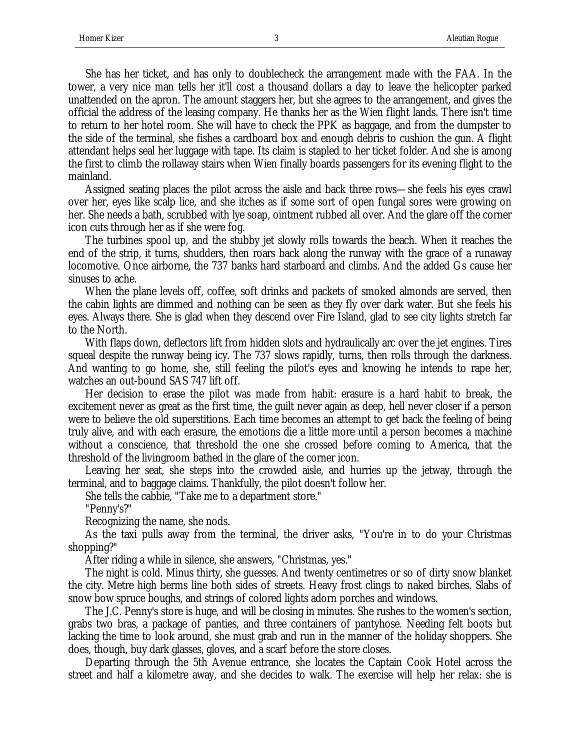She has her ticket, and has only to doublecheck the arrangement made with the FAA. In the tower, a very nice man tells her it'll cost a thousand dollars a day to leave the helicopter parked unattended on the apron. The amount staggers her, but she agrees to the arrangement, and gives the official the address of the leasing company. He thanks her as the Wien flight lands. There isn't time to return to her hotel room. She will have to check the PPK as baggage, and from the dumpster to the side of the terminal, she fishes a cardboard box and enough debris to cushion the gun. A flight attendant helps seal her luggage with tape. Its claim is stapled to her ticket folder. And she is among the first to climb the rollaway stairs when Wien finally boards passengers for its evening flight to the mainland.

Assigned seating places the pilot across the aisle and back three rows—she feels his eyes crawl over her, eyes like scalp lice, and she itches as if some sort of open fungal sores were growing on her. She needs a bath, scrubbed with lye soap, ointment rubbed all over. And the glare off the corner icon cuts through her as if she were fog.

The turbines spool up, and the stubby jet slowly rolls towards the beach. When it reaches the end of the strip, it turns, shudders, then roars back along the runway with the grace of a runaway locomotive. Once airborne, the 737 banks hard starboard and climbs. And the added Gs cause her sinuses to ache.

When the plane levels off, coffee, soft drinks and packets of smoked almonds are served, then the cabin lights are dimmed and nothing can be seen as they fly over dark water. But she feels his eyes. Always there. She is glad when they descend over Fire Island, glad to see city lights stretch far to the North.

With flaps down, deflectors lift from hidden slots and hydraulically arc over the jet engines. Tires squeal despite the runway being icy. The 737 slows rapidly, turns, then rolls through the darkness. And wanting to go home, she, still feeling the pilot's eyes and knowing he intends to rape her, watches an out-bound SAS 747 lift off.

Her decision to erase the pilot was made from habit: erasure is a hard habit to break, the excitement never as great as the first time, the guilt never again as deep, hell never closer if a person were to believe the old superstitions. Each time becomes an attempt to get back the feeling of being truly alive, and with each erasure, the emotions die a little more until a person becomes a machine without a conscience, that threshold the one she crossed before coming to America, that the threshold of the livingroom bathed in the glare of the corner icon.

Leaving her seat, she steps into the crowded aisle, and hurries up the jetway, through the terminal, and to baggage claims. Thankfully, the pilot doesn't follow her.

She tells the cabbie, "Take me to a department store."

"Penny's?"

Recognizing the name, she nods.

As the taxi pulls away from the terminal, the driver asks, "You're in to do your Christmas shopping?"

After riding a while in silence, she answers, "Christmas, yes."

The night is cold. Minus thirty, she guesses. And twenty centimetres or so of dirty snow blanket the city. Metre high berms line both sides of streets. Heavy frost clings to naked birches. Slabs of snow bow spruce boughs, and strings of colored lights adorn porches and windows.

The J.C. Penny's store is huge, and will be closing in minutes. She rushes to the women's section, grabs two bras, a package of panties, and three containers of pantyhose. Needing felt boots but lacking the time to look around, she must grab and run in the manner of the holiday shoppers. She does, though, buy dark glasses, gloves, and a scarf before the store closes.

Departing through the 5th Avenue entrance, she locates the Captain Cook Hotel across the street and half a kilometre away, and she decides to walk. The exercise will help her relax: she is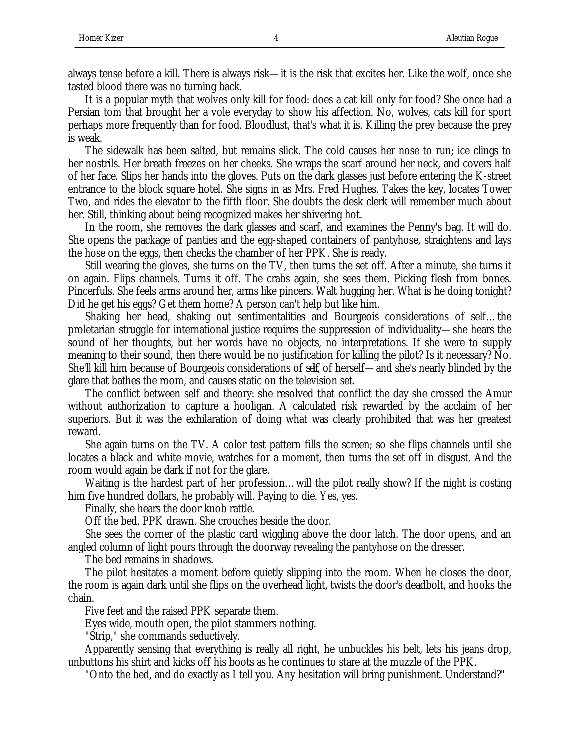always tense before a kill. There is always risk—it is the risk that excites her. Like the wolf, once she tasted blood there was no turning back.

It is a popular myth that wolves only kill for food: does a cat kill only for food? She once had a Persian tom that brought her a vole everyday to show his affection. No, wolves, cats kill for sport perhaps more frequently than for food. Bloodlust, that's what it is. Killing the prey because the prey is weak.

The sidewalk has been salted, but remains slick. The cold causes her nose to run; ice clings to her nostrils. Her breath freezes on her cheeks. She wraps the scarf around her neck, and covers half of her face. Slips her hands into the gloves. Puts on the dark glasses just before entering the K-street entrance to the block square hotel. She signs in as Mrs. Fred Hughes. Takes the key, locates Tower Two, and rides the elevator to the fifth floor. She doubts the desk clerk will remember much about her. Still, thinking about being recognized makes her shivering hot.

In the room, she removes the dark glasses and scarf, and examines the Penny's bag. It will do. She opens the package of panties and the egg-shaped containers of pantyhose, straightens and lays the hose on the eggs, then checks the chamber of her PPK. She is ready.

Still wearing the gloves, she turns on the TV, then turns the set off. After a minute, she turns it on again. Flips channels. Turns it off. The crabs again, she sees them. Picking flesh from bones. Pincerfuls. She feels arms around her, arms like pincers. Walt hugging her. What is he doing tonight? Did he get his eggs? Get them home? A person can't help but like him.

Shaking her head, shaking out sentimentalities and Bourgeois considerations of self…the proletarian struggle for international justice requires the suppression of individuality—she hears the sound of her thoughts, but her words have no objects, no interpretations. If she were to supply meaning to their sound, then there would be no justification for killing the pilot? Is it necessary? No. She'll kill him because of Bourgeois considerations of *self*, of herself—and she's nearly blinded by the glare that bathes the room, and causes static on the television set.

The conflict between self and theory: she resolved that conflict the day she crossed the Amur without authorization to capture a hooligan. A calculated risk rewarded by the acclaim of her superiors. But it was the exhilaration of doing what was clearly prohibited that was her greatest reward.

She again turns on the TV. A color test pattern fills the screen; so she flips channels until she locates a black and white movie, watches for a moment, then turns the set off in disgust. And the room would again be dark if not for the glare.

Waiting is the hardest part of her profession…will the pilot really show? If the night is costing him five hundred dollars, he probably will. Paying to die. Yes, yes.

Finally, she hears the door knob rattle.

Off the bed. PPK drawn. She crouches beside the door.

She sees the corner of the plastic card wiggling above the door latch. The door opens, and an angled column of light pours through the doorway revealing the pantyhose on the dresser.

The bed remains in shadows.

The pilot hesitates a moment before quietly slipping into the room. When he closes the door, the room is again dark until she flips on the overhead light, twists the door's deadbolt, and hooks the chain.

Five feet and the raised PPK separate them.

Eyes wide, mouth open, the pilot stammers nothing.

"Strip," she commands seductively.

Apparently sensing that everything is really all right, he unbuckles his belt, lets his jeans drop, unbuttons his shirt and kicks off his boots as he continues to stare at the muzzle of the PPK.

"Onto the bed, and do exactly as I tell you. Any hesitation will bring punishment. Understand?"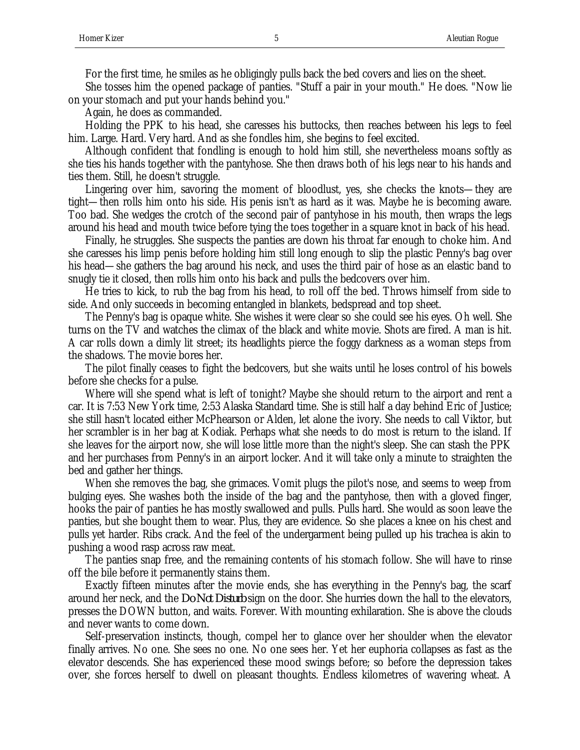For the first time, he smiles as he obligingly pulls back the bed covers and lies on the sheet.

She tosses him the opened package of panties. "Stuff a pair in your mouth." He does. "Now lie on your stomach and put your hands behind you."

Again, he does as commanded.

Holding the PPK to his head, she caresses his buttocks, then reaches between his legs to feel him. Large. Hard. Very hard. And as she fondles him, she begins to feel excited.

Although confident that fondling is enough to hold him still, she nevertheless moans softly as she ties his hands together with the pantyhose. She then draws both of his legs near to his hands and ties them. Still, he doesn't struggle.

Lingering over him, savoring the moment of bloodlust, yes, she checks the knots—they are tight—then rolls him onto his side. His penis isn't as hard as it was. Maybe he is becoming aware. Too bad. She wedges the crotch of the second pair of pantyhose in his mouth, then wraps the legs around his head and mouth twice before tying the toes together in a square knot in back of his head.

Finally, he struggles. She suspects the panties are down his throat far enough to choke him. And she caresses his limp penis before holding him still long enough to slip the plastic Penny's bag over his head—she gathers the bag around his neck, and uses the third pair of hose as an elastic band to snugly tie it closed, then rolls him onto his back and pulls the bedcovers over him.

He tries to kick, to rub the bag from his head, to roll off the bed. Throws himself from side to side. And only succeeds in becoming entangled in blankets, bedspread and top sheet.

The Penny's bag is opaque white. She wishes it were clear so she could see his eyes. Oh well. She turns on the TV and watches the climax of the black and white movie. Shots are fired. A man is hit. A car rolls down a dimly lit street; its headlights pierce the foggy darkness as a woman steps from the shadows. The movie bores her.

The pilot finally ceases to fight the bedcovers, but she waits until he loses control of his bowels before she checks for a pulse.

Where will she spend what is left of tonight? Maybe she should return to the airport and rent a car. It is 7:53 New York time, 2:53 Alaska Standard time. She is still half a day behind Eric of Justice; she still hasn't located either McPhearson or Alden, let alone the ivory. She needs to call Viktor, but her scrambler is in her bag at Kodiak. Perhaps what she needs to do most is return to the island. If she leaves for the airport now, she will lose little more than the night's sleep. She can stash the PPK and her purchases from Penny's in an airport locker. And it will take only a minute to straighten the bed and gather her things.

When she removes the bag, she grimaces. Vomit plugs the pilot's nose, and seems to weep from bulging eyes. She washes both the inside of the bag and the pantyhose, then with a gloved finger, hooks the pair of panties he has mostly swallowed and pulls. Pulls hard. She would as soon leave the panties, but she bought them to wear. Plus, they are evidence. So she places a knee on his chest and pulls yet harder. Ribs crack. And the feel of the undergarment being pulled up his trachea is akin to pushing a wood rasp across raw meat.

The panties snap free, and the remaining contents of his stomach follow. She will have to rinse off the bile before it permanently stains them.

Exactly fifteen minutes after the movie ends, she has everything in the Penny's bag, the scarf around her neck, and the *Do Not Disturb* sign on the door. She hurries down the hall to the elevators, presses the DOWN button, and waits. Forever. With mounting exhilaration. She is above the clouds and never wants to come down.

Self-preservation instincts, though, compel her to glance over her shoulder when the elevator finally arrives. No one. She sees no one. No one sees her. Yet her euphoria collapses as fast as the elevator descends. She has experienced these mood swings before; so before the depression takes over, she forces herself to dwell on pleasant thoughts. Endless kilometres of wavering wheat. A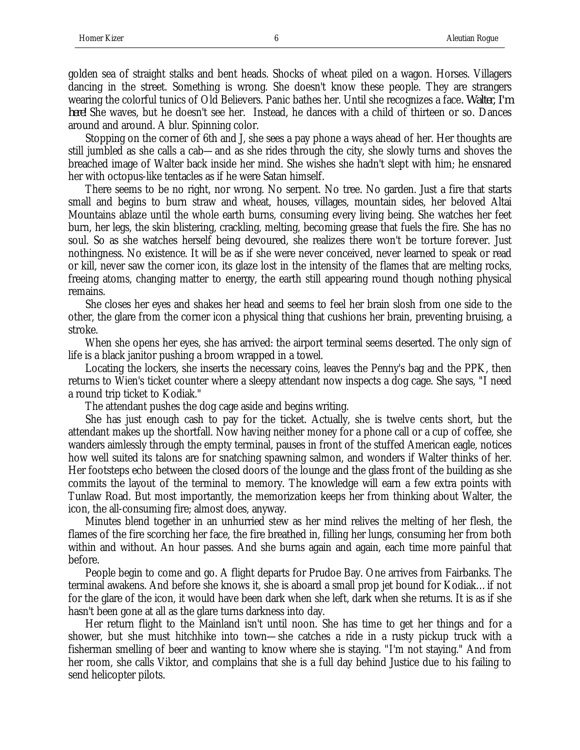golden sea of straight stalks and bent heads. Shocks of wheat piled on a wagon. Horses. Villagers dancing in the street. Something is wrong. She doesn't know these people. They are strangers wearing the colorful tunics of Old Believers. Panic bathes her. Until she recognizes a face*. Walter, I'm here!* She waves, but he doesn't see her. Instead, he dances with a child of thirteen or so. Dances around and around. A blur. Spinning color.

Stopping on the corner of 6th and J, she sees a pay phone a ways ahead of her. Her thoughts are still jumbled as she calls a cab—and as she rides through the city, she slowly turns and shoves the breached image of Walter back inside her mind. She wishes she hadn't slept with him; he ensnared her with octopus-like tentacles as if he were Satan himself.

There seems to be no right, nor wrong. No serpent. No tree. No garden. Just a fire that starts small and begins to burn straw and wheat, houses, villages, mountain sides, her beloved Altai Mountains ablaze until the whole earth burns, consuming every living being. She watches her feet burn, her legs, the skin blistering, crackling, melting, becoming grease that fuels the fire. She has no soul. So as she watches herself being devoured, she realizes there won't be torture forever. Just nothingness. No existence. It will be as if she were never conceived, never learned to speak or read or kill, never saw the corner icon, its glaze lost in the intensity of the flames that are melting rocks, freeing atoms, changing matter to energy, the earth still appearing round though nothing physical remains.

She closes her eyes and shakes her head and seems to feel her brain slosh from one side to the other, the glare from the corner icon a physical thing that cushions her brain, preventing bruising, a stroke.

When she opens her eyes, she has arrived: the airport terminal seems deserted. The only sign of life is a black janitor pushing a broom wrapped in a towel.

Locating the lockers, she inserts the necessary coins, leaves the Penny's bag and the PPK, then returns to Wien's ticket counter where a sleepy attendant now inspects a dog cage. She says, "I need a round trip ticket to Kodiak."

The attendant pushes the dog cage aside and begins writing.

She has just enough cash to pay for the ticket. Actually, she is twelve cents short, but the attendant makes up the shortfall. Now having neither money for a phone call or a cup of coffee, she wanders aimlessly through the empty terminal, pauses in front of the stuffed American eagle, notices how well suited its talons are for snatching spawning salmon, and wonders if Walter thinks of her. Her footsteps echo between the closed doors of the lounge and the glass front of the building as she commits the layout of the terminal to memory. The knowledge will earn a few extra points with Tunlaw Road. But most importantly, the memorization keeps her from thinking about Walter, the icon, the all-consuming fire; almost does, anyway.

Minutes blend together in an unhurried stew as her mind relives the melting of her flesh, the flames of the fire scorching her face, the fire breathed in, filling her lungs, consuming her from both within and without. An hour passes. And she burns again and again, each time more painful that before.

People begin to come and go. A flight departs for Prudoe Bay. One arrives from Fairbanks. The terminal awakens. And before she knows it, she is aboard a small prop jet bound for Kodiak…if not for the glare of the icon, it would have been dark when she left, dark when she returns. It is as if she hasn't been gone at all as the glare turns darkness into day.

Her return flight to the Mainland isn't until noon. She has time to get her things and for a shower, but she must hitchhike into town—she catches a ride in a rusty pickup truck with a fisherman smelling of beer and wanting to know where she is staying. "I'm not staying." And from her room, she calls Viktor, and complains that she is a full day behind Justice due to his failing to send helicopter pilots.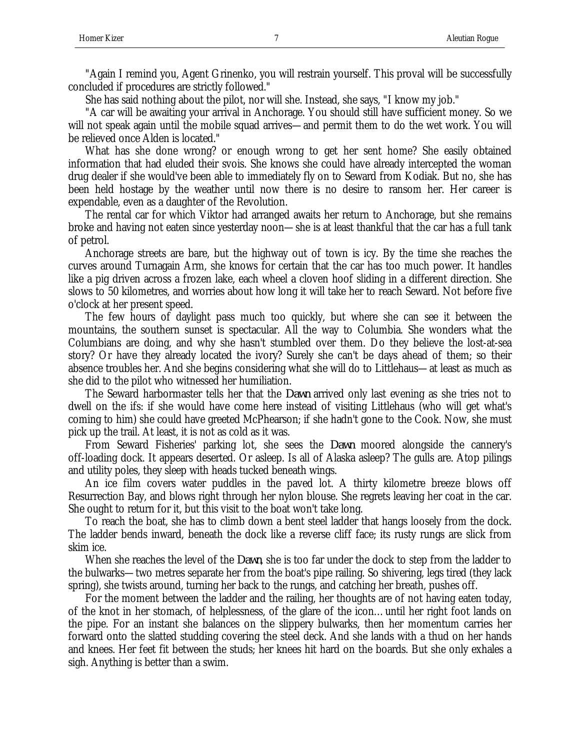"Again I remind you, Agent Grinenko, you will restrain yourself. This proval will be successfully concluded if procedures are strictly followed."

She has said nothing about the pilot, nor will she. Instead, she says, "I know my job."

"A car will be awaiting your arrival in Anchorage. You should still have sufficient money. So we will not speak again until the mobile squad arrives—and permit them to do the wet work. You will be relieved once Alden is located."

What has she done wrong? or enough wrong to get her sent home? She easily obtained information that had eluded their svois. She knows she could have already intercepted the woman drug dealer if she would've been able to immediately fly on to Seward from Kodiak. But no, she has been held hostage by the weather until now there is no desire to ransom her. Her career is expendable, even as a daughter of the Revolution.

The rental car for which Viktor had arranged awaits her return to Anchorage, but she remains broke and having not eaten since yesterday noon—she is at least thankful that the car has a full tank of petrol.

Anchorage streets are bare, but the highway out of town is icy. By the time she reaches the curves around Turnagain Arm, she knows for certain that the car has too much power. It handles like a pig driven across a frozen lake, each wheel a cloven hoof sliding in a different direction. She slows to 50 kilometres, and worries about how long it will take her to reach Seward. Not before five o'clock at her present speed.

The few hours of daylight pass much too quickly, but where she can see it between the mountains, the southern sunset is spectacular. All the way to Columbia. She wonders what the Columbians are doing, and why she hasn't stumbled over them. Do they believe the lost-at-sea story? Or have they already located the ivory? Surely she can't be days ahead of them; so their absence troubles her. And she begins considering what she will do to Littlehaus—at least as much as she did to the pilot who witnessed her humiliation.

The Seward harbormaster tells her that the *Dawn* arrived only last evening as she tries not to dwell on the ifs: if she would have come here instead of visiting Littlehaus (who will get what's coming to him) she could have greeted McPhearson; if she hadn't gone to the Cook. Now, she must pick up the trail. At least, it is not as cold as it was.

From Seward Fisheries' parking lot, she sees the *Dawn* moored alongside the cannery's off-loading dock. It appears deserted. Or asleep. Is all of Alaska asleep? The gulls are. Atop pilings and utility poles, they sleep with heads tucked beneath wings.

An ice film covers water puddles in the paved lot. A thirty kilometre breeze blows off Resurrection Bay, and blows right through her nylon blouse. She regrets leaving her coat in the car. She ought to return for it, but this visit to the boat won't take long.

To reach the boat, she has to climb down a bent steel ladder that hangs loosely from the dock. The ladder bends inward, beneath the dock like a reverse cliff face; its rusty rungs are slick from skim ice.

When she reaches the level of the *Dawn*, she is too far under the dock to step from the ladder to the bulwarks—two metres separate her from the boat's pipe railing. So shivering, legs tired (they lack spring), she twists around, turning her back to the rungs, and catching her breath, pushes off.

For the moment between the ladder and the railing, her thoughts are of not having eaten today, of the knot in her stomach, of helplessness, of the glare of the icon…until her right foot lands on the pipe. For an instant she balances on the slippery bulwarks, then her momentum carries her forward onto the slatted studding covering the steel deck. And she lands with a thud on her hands and knees. Her feet fit between the studs; her knees hit hard on the boards. But she only exhales a sigh. Anything is better than a swim.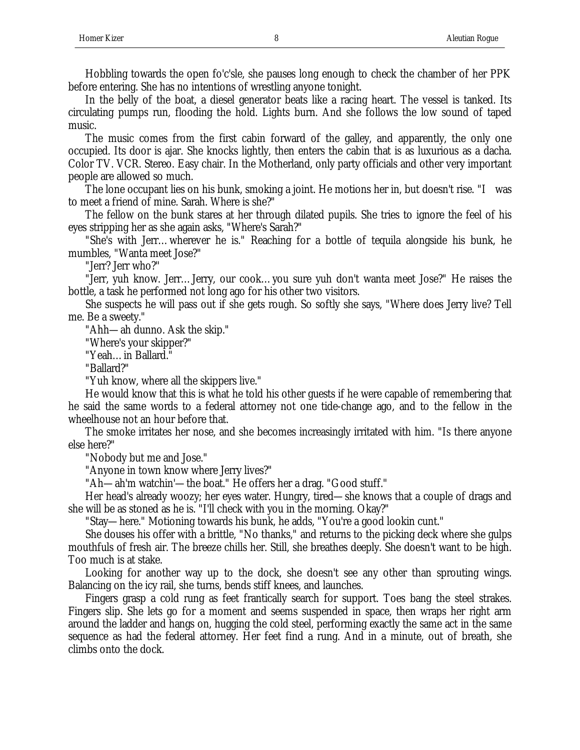Hobbling towards the open fo'c'sle, she pauses long enough to check the chamber of her PPK before entering. She has no intentions of wrestling anyone tonight.

In the belly of the boat, a diesel generator beats like a racing heart. The vessel is tanked. Its circulating pumps run, flooding the hold. Lights burn. And she follows the low sound of taped music.

The music comes from the first cabin forward of the galley, and apparently, the only one occupied. Its door is ajar. She knocks lightly, then enters the cabin that is as luxurious as a dacha. Color TV. VCR. Stereo. Easy chair. In the Motherland, only party officials and other very important people are allowed so much.

The lone occupant lies on his bunk, smoking a joint. He motions her in, but doesn't rise. "I was to meet a friend of mine. Sarah. Where is she?"

The fellow on the bunk stares at her through dilated pupils. She tries to ignore the feel of his eyes stripping her as she again asks, "Where's Sarah?"

"She's with Jerr…wherever he is." Reaching for a bottle of tequila alongside his bunk, he mumbles, "Wanta meet Jose?"

"Jerr? Jerr who?"

"Jerr, yuh know. Jerr…Jerry, our cook…you sure yuh don't wanta meet Jose?" He raises the bottle, a task he performed not long ago for his other two visitors.

She suspects he will pass out if she gets rough. So softly she says, "Where does Jerry live? Tell me. Be a sweety."

"Ahh—ah dunno. Ask the skip."

"Where's your skipper?"

"Yeah…in Ballard."

"Ballard?"

"Yuh know, where all the skippers live."

He would know that this is what he told his other guests if he were capable of remembering that he said the same words to a federal attorney not one tide-change ago, and to the fellow in the wheelhouse not an hour before that.

The smoke irritates her nose, and she becomes increasingly irritated with him. "Is there anyone else here?"

"Nobody but me and Jose."

"Anyone in town know where Jerry lives?"

"Ah—ah'm watchin'—the boat." He offers her a drag. "Good stuff."

Her head's already woozy; her eyes water. Hungry, tired—she knows that a couple of drags and she will be as stoned as he is. "I'll check with you in the morning. Okay?"

"Stay—here." Motioning towards his bunk, he adds, "You're a good lookin cunt."

She douses his offer with a brittle, "No thanks," and returns to the picking deck where she gulps mouthfuls of fresh air. The breeze chills her. Still, she breathes deeply. She doesn't want to be high. Too much is at stake.

Looking for another way up to the dock, she doesn't see any other than sprouting wings. Balancing on the icy rail, she turns, bends stiff knees, and launches.

Fingers grasp a cold rung as feet frantically search for support. Toes bang the steel strakes. Fingers slip. She lets go for a moment and seems suspended in space, then wraps her right arm around the ladder and hangs on, hugging the cold steel, performing exactly the same act in the same sequence as had the federal attorney. Her feet find a rung. And in a minute, out of breath, she climbs onto the dock.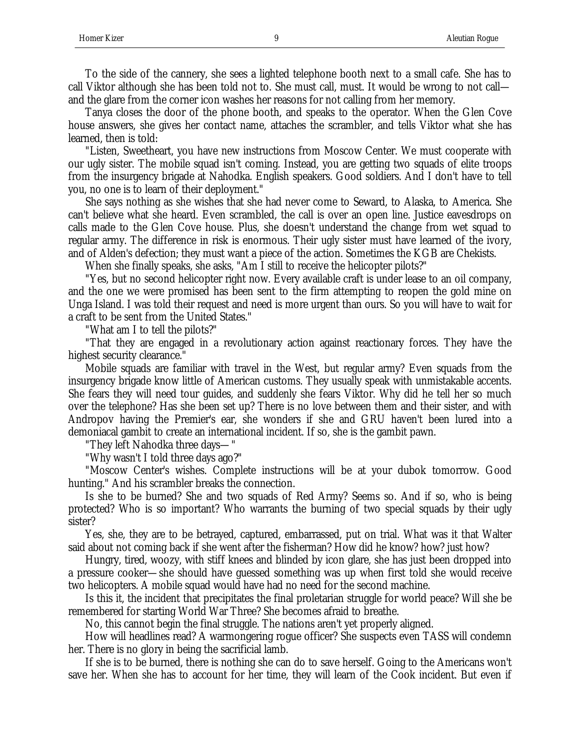To the side of the cannery, she sees a lighted telephone booth next to a small cafe. She has to call Viktor although she has been told not to. She must call, must. It would be wrong to not call and the glare from the corner icon washes her reasons for not calling from her memory.

Tanya closes the door of the phone booth, and speaks to the operator. When the Glen Cove house answers, she gives her contact name, attaches the scrambler, and tells Viktor what she has learned, then is told:

"Listen, Sweetheart, you have new instructions from Moscow Center. We must cooperate with our ugly sister. The mobile squad isn't coming. Instead, you are getting two squads of elite troops from the insurgency brigade at Nahodka. English speakers. Good soldiers. And I don't have to tell you, no one is to learn of their deployment."

She says nothing as she wishes that she had never come to Seward, to Alaska, to America. She can't believe what she heard. Even scrambled, the call is over an open line. Justice eavesdrops on calls made to the Glen Cove house. Plus, she doesn't understand the change from wet squad to regular army. The difference in risk is enormous. Their ugly sister must have learned of the ivory, and of Alden's defection; they must want a piece of the action. Sometimes the KGB are Chekists.

When she finally speaks, she asks, "Am I still to receive the helicopter pilots?"

"Yes, but no second helicopter right now. Every available craft is under lease to an oil company, and the one we were promised has been sent to the firm attempting to reopen the gold mine on Unga Island. I was told their request and need is more urgent than ours. So you will have to wait for a craft to be sent from the United States."

"What am I to tell the pilots?"

"That they are engaged in a revolutionary action against reactionary forces. They have the highest security clearance."

Mobile squads are familiar with travel in the West, but regular army? Even squads from the insurgency brigade know little of American customs. They usually speak with unmistakable accents. She fears they will need tour guides, and suddenly she fears Viktor. Why did he tell her so much over the telephone? Has she been set up? There is no love between them and their sister, and with Andropov having the Premier's ear, she wonders if she and GRU haven't been lured into a demoniacal gambit to create an international incident. If so, she is the gambit pawn.

"They left Nahodka three days—"

"Why wasn't I told three days ago?"

"Moscow Center's wishes. Complete instructions will be at your dubok tomorrow. Good hunting." And his scrambler breaks the connection.

Is she to be burned? She and two squads of Red Army? Seems so. And if so, who is being protected? Who is so important? Who warrants the burning of two special squads by their ugly sister?

Yes, she, they are to be betrayed, captured, embarrassed, put on trial. What was it that Walter said about not coming back if she went after the fisherman? How did he know? how? just how?

Hungry, tired, woozy, with stiff knees and blinded by icon glare, she has just been dropped into a pressure cooker—she should have guessed something was up when first told she would receive two helicopters. A mobile squad would have had no need for the second machine.

Is this it, the incident that precipitates the final proletarian struggle for world peace? Will she be remembered for starting World War Three? She becomes afraid to breathe.

No, this cannot begin the final struggle. The nations aren't yet properly aligned.

How will headlines read? A warmongering rogue officer? She suspects even TASS will condemn her. There is no glory in being the sacrificial lamb.

If she is to be burned, there is nothing she can do to save herself. Going to the Americans won't save her. When she has to account for her time, they will learn of the Cook incident. But even if